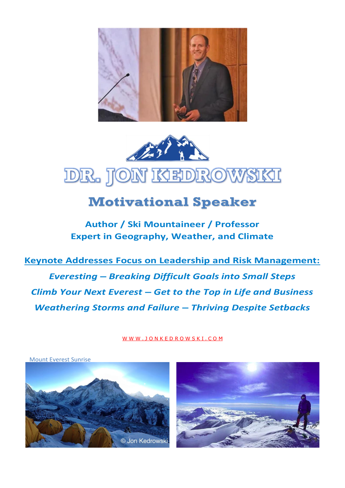



# **Motivational Speaker**

**Author / Ski Mountaineer / Professor Expert in Geography, Weather, and Climate** 

**Keynote Addresses Focus on Leadership and Risk Management:** *Everesting – Breaking Difficult Goals into Small Steps Climb Your Next Everest – Get to the Top in Life and Business Weathering Storms and Failure – Thriving Despite Setbacks*

[W W W . J O N K E D R O W S K I . C O M](http://www.jonkedrowski.com/)

Mount Everest Sunrise



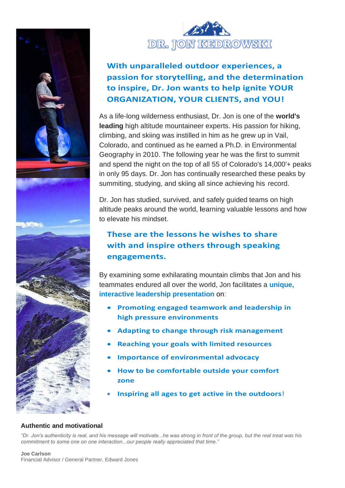



## **With unparalleled outdoor experiences, a passion for storytelling, and the determination to inspire, Dr. Jon wants to help ignite YOUR ORGANIZATION, YOUR CLIENTS, and YOU!**

As a life-long wilderness enthusiast, Dr. Jon is one of the **world's leading** high altitude mountaineer experts. His passion for hiking, climbing, and skiing was instilled in him as he grew up in Vail, Colorado, and continued as he earned a Ph.D. in Environmental Geography in 2010. The following year he was the first to summit and spend the night on the top of all 55 of Colorado's 14,000'+ peaks in only 95 days. Dr. Jon has continually researched these peaks by summiting, studying, and skiing all since achieving his record.

Dr. Jon has studied, survived, and safely guided teams on high altitude peaks around the world, **l**earning valuable lessons and how to elevate his mindset.

### **These are the lessons he wishes to share with and inspire others through speaking engagements.**

By examining some exhilarating mountain climbs that Jon and his teammates endured all over the world, Jon facilitates a **unique, interactive leadership presentation** on:

- **Promoting engaged teamwork and leadership in high pressure environments**
- **Adapting to change through risk management**
- **Reaching your goals with limited resources**
- **Importance of environmental advocacy**
- **How to be comfortable outside your comfort zone**
- **Inspiring all ages to get active in the outdoors**!

### **Authentic and motivational**

*"Dr. Jon's authenticity is real, and his message will motivate...he was strong in front of the group, but the real treat was his commitment to some one on one interaction...our people really appreciated that time."*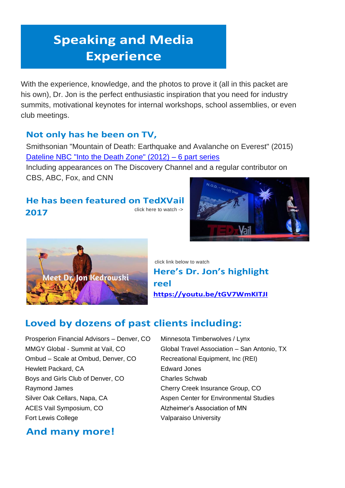# **Speaking and Media Experience**

With the experience, knowledge, and the photos to prove it (all in this packet are his own), Dr. Jon is the perfect enthusiastic inspiration that you need for industry summits, motivational keynotes for internal workshops, school assemblies, or even club meetings.

## **Not only has he been on TV,**

Smithsonian "Mountain of Death: Earthquake and Avalanche on Everest" (2015) [Dateline NBC "Into the Death Zone" \(2012\)](http://www.jonkedrowski.com/media) – 6 part series

[Including appearances on The Discovery Channel and a regular contributor on](http://www.nbcnews.com/video/dateline/52943468)  [CBS, ABC, Fox, and CNN](http://www.nbcnews.com/video/dateline/52943468)

## **[He has been featured on TedXVail](https://youtu.be/_DJ_RoFwTas) [2017](https://youtu.be/_DJ_RoFwTas)** [click here to watch ->](https://youtu.be/_DJ_RoFwTas)





click link below to watch **Here's Dr. Jon's highlight reel <https://youtu.be/tGV7WmKITJI>**

# **Loved by dozens of past clients including:**

Prosperion Financial Advisors – Denver, CO Minnesota Timberwolves / Lynx Ombud – Scale at Ombud, Denver, CO Recreational Equipment, Inc (REI) Hewlett Packard, CA **Edward Jones** Boys and Girls Club of Denver, CO Charles Schwab Raymond James **Cherry Creek Insurance Group, CO** Silver Oak Cellars, Napa, CA Aspen Center for Environmental Studies ACES Vail Symposium, CO Alzheimer's Association of MN Fort Lewis College **Valparaiso University** 

**And many more!**

MMGY Global - Summit at Vail, [CO](https://www.mmgysummitvail.com/speakers) Global Travel Association – San Antonio, TX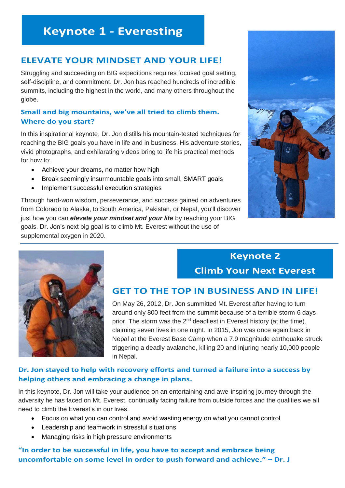# **Keynote 1 - Everesting**

### **ELEVATE YOUR MINDSET AND YOUR LIFE!**

Struggling and succeeding on BIG expeditions requires focused goal setting, self-discipline, and commitment. Dr. Jon has reached hundreds of incredible summits, including the highest in the world, and many others throughout the globe.

### **Small and big mountains, we've all tried to climb them. Where do you start?**

In this inspirational keynote, Dr. Jon distills his mountain-tested techniques for reaching the BIG goals you have in life and in business. His adventure stories, vivid photographs, and exhilarating videos bring to life his practical methods for how to:

- Achieve your dreams, no matter how high
- Break seemingly insurmountable goals into small, SMART goals
- Implement successful execution strategies

Through hard-won wisdom, perseverance, and success gained on adventures from Colorado to Alaska, to South America, Pakistan, or Nepal, you'll discover just how you can *elevate your mindset and your life* by reaching your BIG goals. Dr. Jon's next big goal is to climb Mt. Everest without the use of supplemental oxygen in 2020.





# **Keynote 2 Climb Your Next Everest**

### **GET TO THE TOP IN BUSINESS AND IN LIFE!**

On May 26, 2012, Dr. Jon summitted Mt. Everest after having to turn around only 800 feet from the summit because of a terrible storm 6 days prior. The storm was the 2<sup>nd</sup> deadliest in Everest history (at the time), claiming seven lives in one night. In 2015, Jon was once again back in Nepal at the Everest Base Camp when a 7.9 magnitude earthquake struck triggering a deadly avalanche, killing 20 and injuring nearly 10,000 people in Nepal.

### **Dr. Jon stayed to help with recovery efforts and turned a failure into a success by helping others and embracing a change in plans.**

In this keynote, Dr. Jon will take your audience on an entertaining and awe-inspiring journey through the adversity he has faced on Mt. Everest, continually facing failure from outside forces and the qualities we all need to climb the Everest's in our lives.

- Focus on what you can control and avoid wasting energy on what you cannot control
- Leadership and teamwork in stressful situations
- Managing risks in high pressure environments

**"In order to be successful in life, you have to accept and embrace being uncomfortable on some level in order to push forward and achieve." – Dr. J**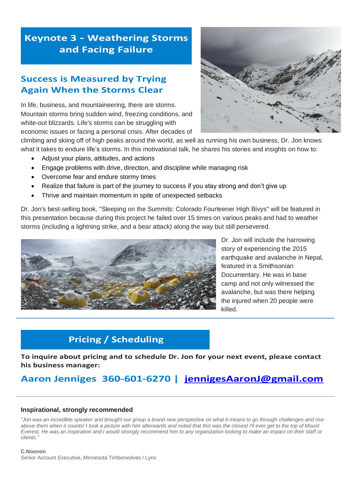# **Keynote 3 - Weathering Storms** and Facing Failure

### **Success is Measured by Trying Again When the Storms Clear**

In life, business, and mountaineering, there are storms. Mountain storms bring sudden wind, freezing conditions, and white-out blizzards. Life's storms can be struggling with economic issues or facing a personal crisis. After decades of



climbing and skiing off of high peaks around the world, as well as running his own business, Dr. Jon knows what it takes to endure life's storms. In this motivational talk, he shares his stories and insights on how to:

- Adjust your plans, attitudes, and actions
- Engage problems with drive, direction, and discipline while managing risk
- Overcome fear and endure stormy times
- Realize that failure is part of the journey to success if you stay strong and don't give up
- Thrive and maintain momentum in spite of unexpected setbacks

Dr. Jon's best-selling book, "Sleeping on the Summits: Colorado Fourteener High Bivys" will be featured in this presentation because during this project he failed over 15 times on various peaks and had to weather storms (including a lightning strike, and a bear attack) along the way but still persevered.



Dr. Jon will include the harrowing story of experiencing the 2015 earthquake and avalanche in Nepal, featured in a Smithsonian Documentary. He was in base camp and not only witnessed the avalanche, but was there helping the injured when 20 people were killed.

# **Pricing / Scheduling**

**To inquire about pricing and to schedule Dr. Jon for your next event, please contact his business manager:**

# **Aaron Jenniges 360-601-6270 | [jennigesAaronJ@gmail.com](mailto:jennigesAaronJ@gmail.com)**

#### **Inspirational, strongly recommended**

*"Jon was an incredible speaker and brought our group a brand new perspective on what it means to go through challenges and rise above them when it counts! I took a picture with him afterwards and noted that this was the closest I'll ever get to the top of Mount Everest. He was an inspiration and I would strongly recommend him to any organization looking to make an impact on their staff or clients."*

#### **C.Noonon**

Senior Account Executive, Minnesota Timberwolves / Lynx